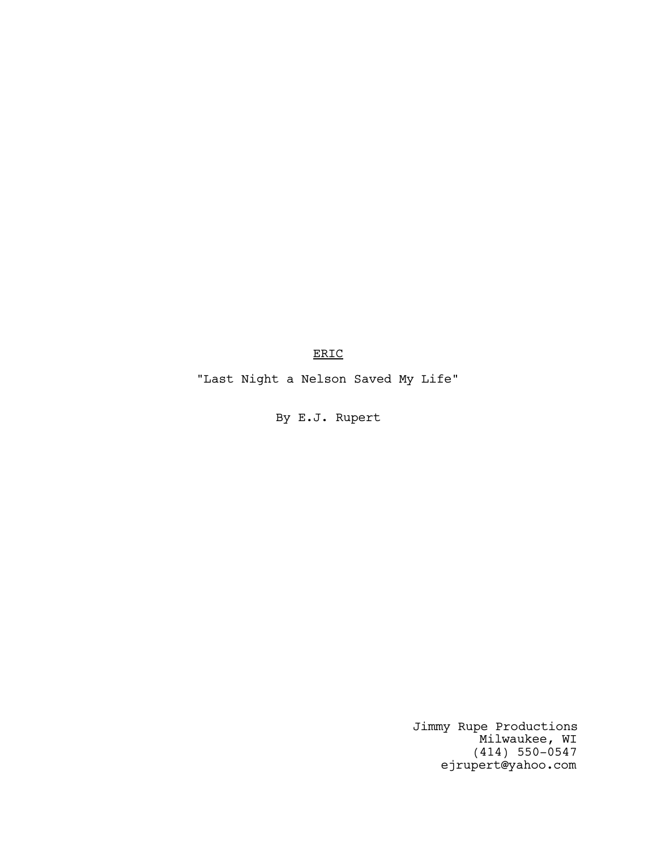ERIC

"Last Night a Nelson Saved My Life"

By E.J. Rupert

Jimmy Rupe Productions Milwaukee, WI (414) 550-0547 ejrupert@yahoo.com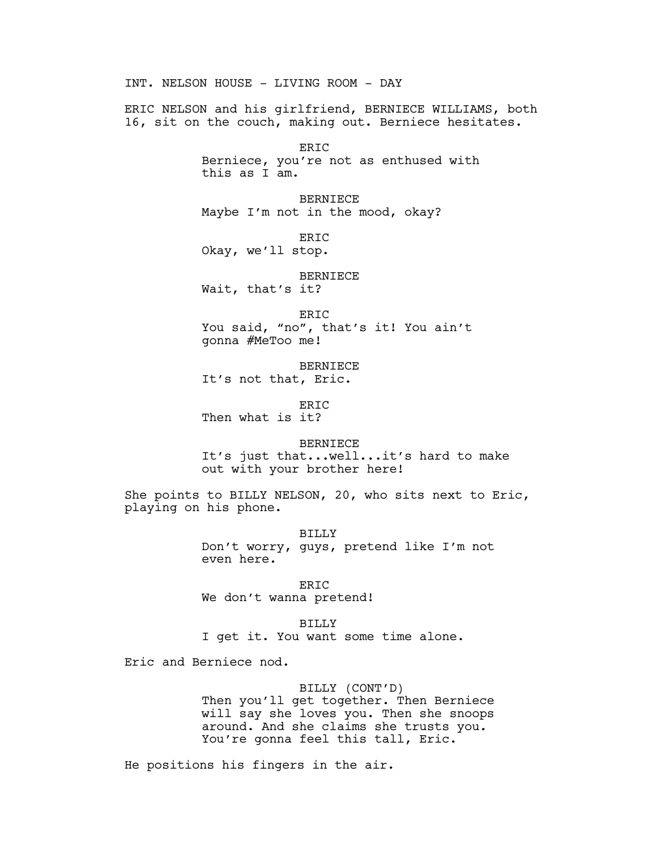INT. NELSON HOUSE - LIVING ROOM - DAY ERIC NELSON and his girlfriend, BERNIECE WILLIAMS, both 16, sit on the couch, making out. Berniece hesitates. ERIC Berniece, you're not as enthused with this as I am. BERNIECE Maybe I'm not in the mood, okay? ERIC Okay, we'll stop. BERNIECE Wait, that's it? ERIC You said, "no", that's it! You ain't gonna #MeToo me! BERNIECE It's not that, Eric. ERIC Then what is it? BERNIECE It's just that...well...it's hard to make out with your brother here! She points to BILLY NELSON, 20, who sits next to Eric, playing on his phone. BILLY Don't worry, guys, pretend like I'm not even here. ERIC We don't wanna pretend! BILLY I get it. You want some time alone.

Eric and Berniece nod.

BILLY (CONT'D) Then you'll get together. Then Berniece will say she loves you. Then she snoops around. And she claims she trusts you. You're gonna feel this tall, Eric.

He positions his fingers in the air.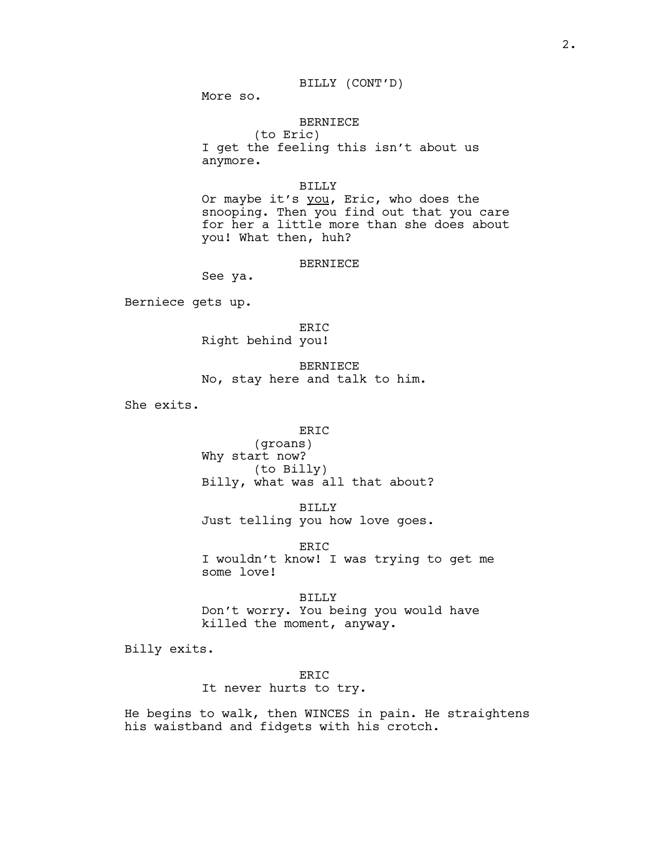# BILLY (CONT'D)

More so.

# BERNIECE

(to Eric) I get the feeling this isn't about us anymore.

## BILLY

Or maybe it's you, Eric, who does the snooping. Then you find out that you care for her a little more than she does about you! What then, huh?

#### BERNIECE

See ya.

Berniece gets up.

ERIC Right behind you!

BERNIECE No, stay here and talk to him.

She exits.

# ERIC

(groans) Why start now? (to Billy) Billy, what was all that about?

BILLY Just telling you how love goes.

ERIC I wouldn't know! I was trying to get me some love!

BILLY Don't worry. You being you would have killed the moment, anyway.

Billy exits.

ERIC It never hurts to try.

He begins to walk, then WINCES in pain. He straightens his waistband and fidgets with his crotch.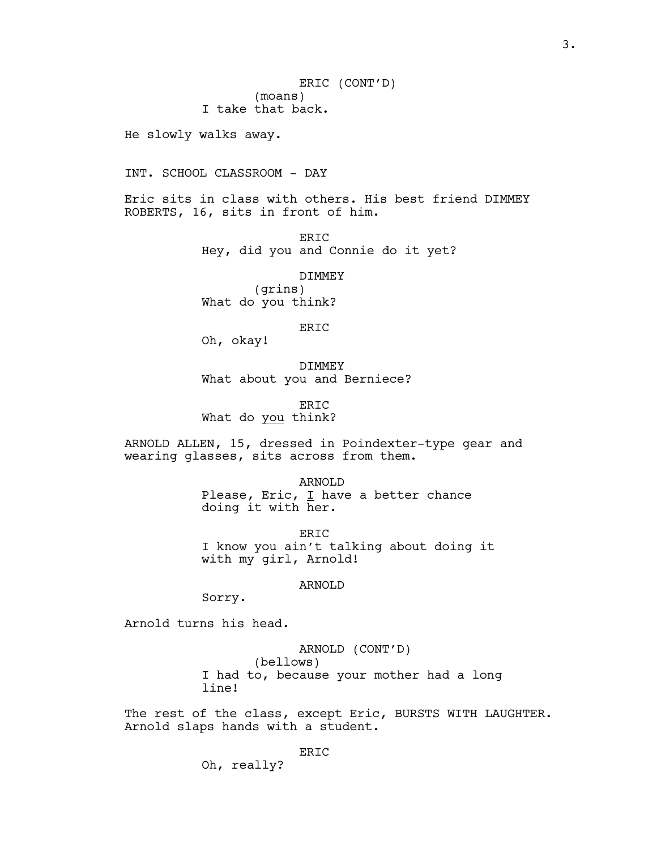ERIC (CONT'D) (moans) I take that back.

He slowly walks away.

INT. SCHOOL CLASSROOM - DAY

Eric sits in class with others. His best friend DIMMEY ROBERTS, 16, sits in front of him.

> ERIC Hey, did you and Connie do it yet?

DIMMEY (grins) What do you think?

ERIC

Oh, okay!

DIMMEY What about you and Berniece?

ERIC What do you think?

ARNOLD ALLEN, 15, dressed in Poindexter-type gear and wearing glasses, sits across from them.

> ARNOLD Please, Eric,  $I$  have a better chance doing it with her.

ER<sub>TC</sub> I know you ain't talking about doing it with my girl, Arnold!

ARNOLD

Sorry.

Arnold turns his head.

ARNOLD (CONT'D) (bellows) I had to, because your mother had a long line!

The rest of the class, except Eric, BURSTS WITH LAUGHTER. Arnold slaps hands with a student.

Oh, really?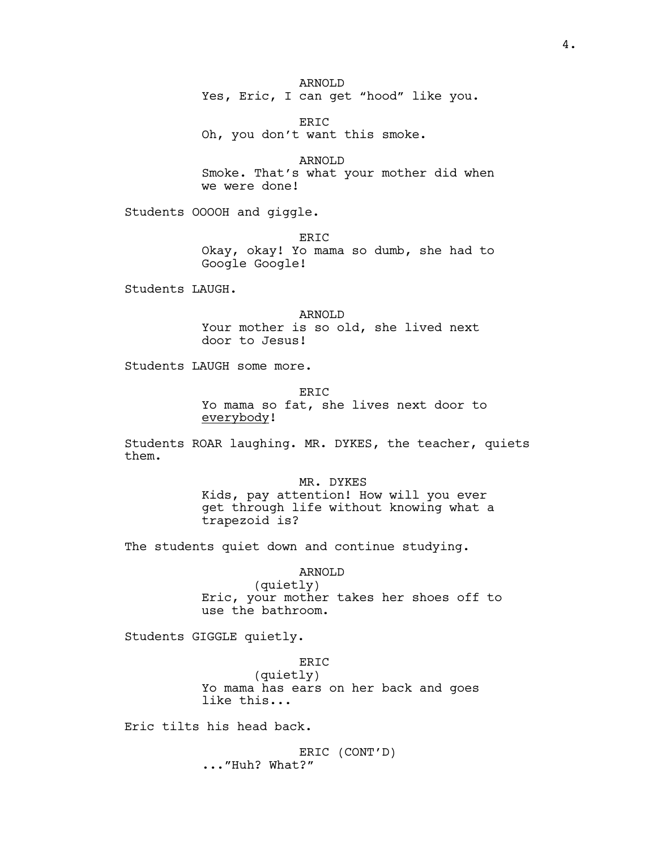ARNOLD Yes, Eric, I can get "hood" like you.

ERIC Oh, you don't want this smoke.

ARNOLD Smoke. That's what your mother did when we were done!

Students OOOOH and giggle.

ERIC Okay, okay! Yo mama so dumb, she had to Google Google!

Students LAUGH.

ARNOLD Your mother is so old, she lived next door to Jesus!

Students LAUGH some more.

ER<sub>TC</sub> Yo mama so fat, she lives next door to everybody!

Students ROAR laughing. MR. DYKES, the teacher, quiets them.

> MR. DYKES Kids, pay attention! How will you ever get through life without knowing what a trapezoid is?

The students quiet down and continue studying.

ARNOLD

(quietly) Eric, your mother takes her shoes off to use the bathroom.

Students GIGGLE quietly.

ERIC (quietly) Yo mama has ears on her back and goes like this...

Eric tilts his head back.

ERIC (CONT'D) ..."Huh? What?"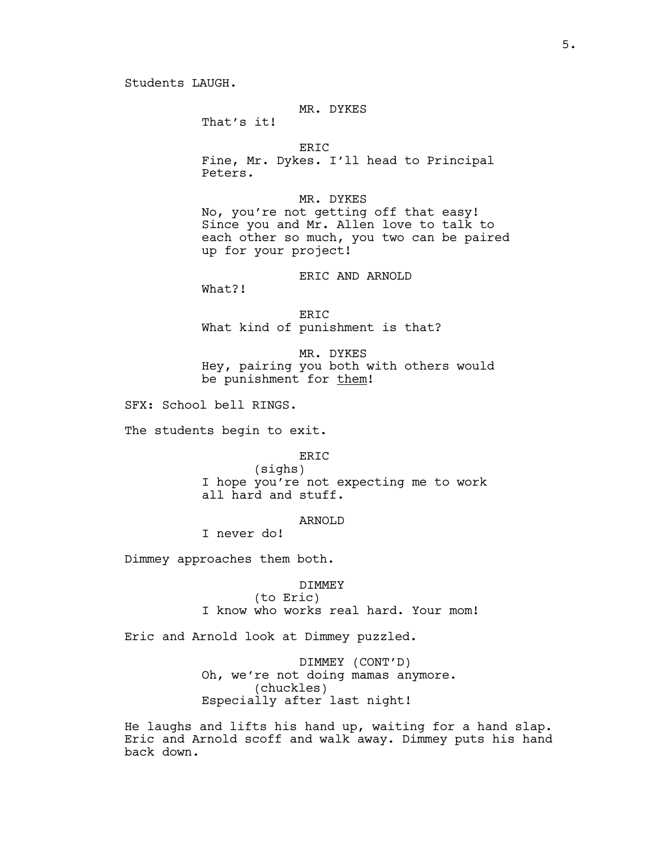Students LAUGH.

# MR. DYKES

That's it!

### ERIC

Fine, Mr. Dykes. I'll head to Principal Peters.

# MR. DYKES

No, you're not getting off that easy! Since you and Mr. Allen love to talk to each other so much, you two can be paired up for your project!

# ERIC AND ARNOLD

What?!

ERIC What kind of punishment is that?

MR. DYKES Hey, pairing you both with others would be punishment for them!

SFX: School bell RINGS.

The students begin to exit.

ERIC

(sighs) I hope you're not expecting me to work all hard and stuff.

## ARNOLD

I never do!

Dimmey approaches them both.

DIMMEY (to Eric) I know who works real hard. Your mom!

Eric and Arnold look at Dimmey puzzled.

DIMMEY (CONT'D) Oh, we're not doing mamas anymore. (chuckles) Especially after last night!

He laughs and lifts his hand up, waiting for a hand slap. Eric and Arnold scoff and walk away. Dimmey puts his hand back down.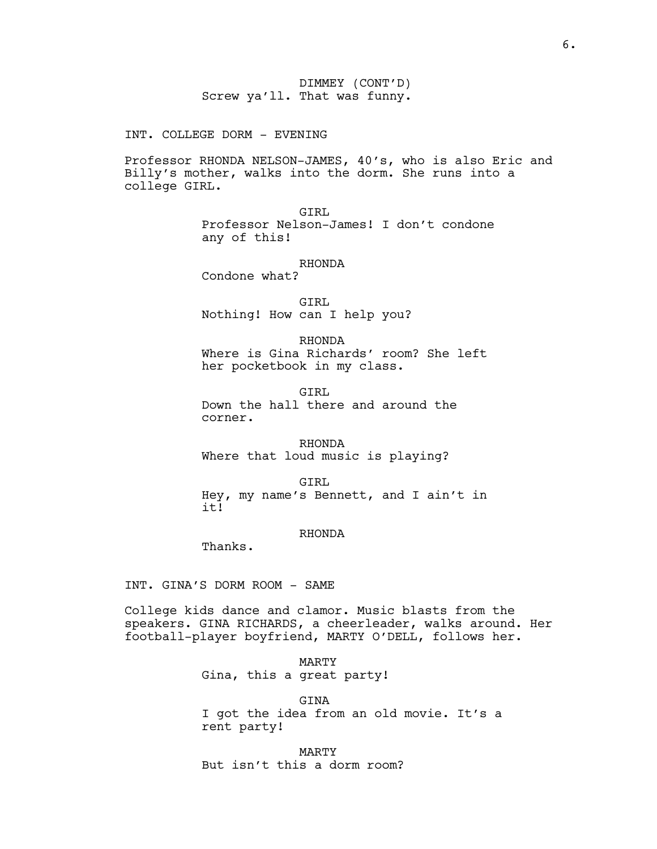DIMMEY (CONT'D) Screw ya'll. That was funny.

INT. COLLEGE DORM - EVENING

Professor RHONDA NELSON-JAMES, 40's, who is also Eric and Billy's mother, walks into the dorm. She runs into a college GIRL.

> GIRL Professor Nelson-James! I don't condone any of this!

> > RHONDA

Condone what?

GIRL Nothing! How can I help you?

RHONDA Where is Gina Richards' room? She left her pocketbook in my class.

GTRT. Down the hall there and around the corner.

RHONDA Where that loud music is playing?

GIRL Hey, my name's Bennett, and I ain't in it!

# RHONDA

Thanks.

INT. GINA'S DORM ROOM - SAME

College kids dance and clamor. Music blasts from the speakers. GINA RICHARDS, a cheerleader, walks around. Her football-player boyfriend, MARTY O'DELL, follows her.

> MARTY Gina, this a great party!

**CTNA** I got the idea from an old movie. It's a rent party!

MARTY But isn't this a dorm room?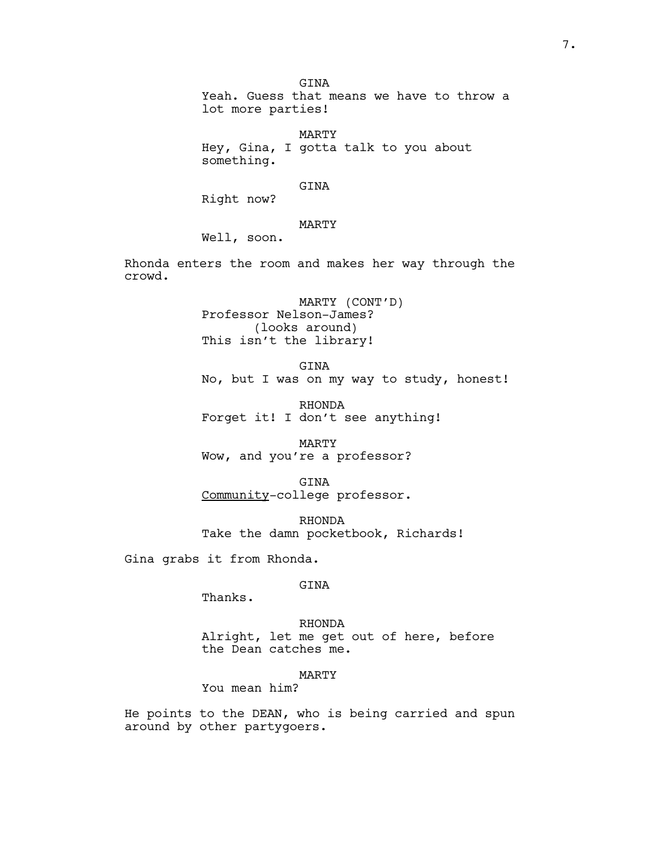GTNA Yeah. Guess that means we have to throw a lot more parties!

MARTY Hey, Gina, I gotta talk to you about something.

GINA

Right now?

MARTY

Well, soon.

Rhonda enters the room and makes her way through the crowd.

> MARTY (CONT'D) Professor Nelson-James? (looks around) This isn't the library!

GINA No, but I was on my way to study, honest!

RHONDA Forget it! I don't see anything!

MARTY Wow, and you're a professor?

GINA Community-college professor.

RHONDA Take the damn pocketbook, Richards!

Gina grabs it from Rhonda.

# GINA

Thanks.

RHONDA Alright, let me get out of here, before the Dean catches me.

# MARTY

You mean him?

He points to the DEAN, who is being carried and spun around by other partygoers.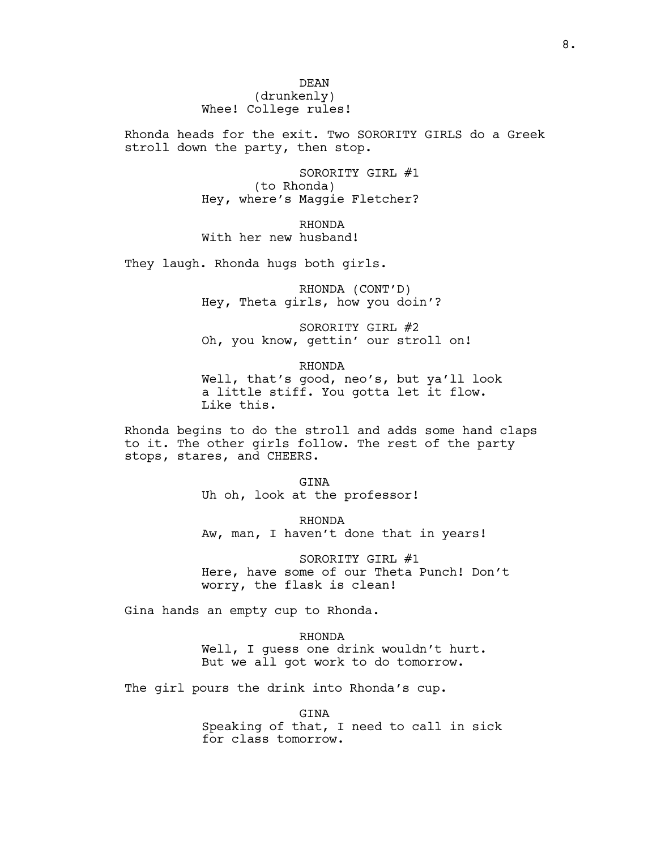DEAN (drunkenly) Whee! College rules!

Rhonda heads for the exit. Two SORORITY GIRLS do a Greek stroll down the party, then stop.

> SORORITY GIRL #1 (to Rhonda) Hey, where's Maggie Fletcher?

RHONDA With her new husband!

They laugh. Rhonda hugs both girls.

RHONDA (CONT'D) Hey, Theta girls, how you doin'?

SORORITY GIRL #2 Oh, you know, gettin' our stroll on!

RHONDA Well, that's good, neo's, but ya'll look a little stiff. You gotta let it flow. Like this.

Rhonda begins to do the stroll and adds some hand claps to it. The other girls follow. The rest of the party stops, stares, and CHEERS.

> GINA Uh oh, look at the professor!

RHONDA Aw, man, I haven't done that in years!

SORORITY GIRL #1 Here, have some of our Theta Punch! Don't worry, the flask is clean!

Gina hands an empty cup to Rhonda.

RHONDA Well, I guess one drink wouldn't hurt. But we all got work to do tomorrow.

The girl pours the drink into Rhonda's cup.

GINA

Speaking of that, I need to call in sick for class tomorrow.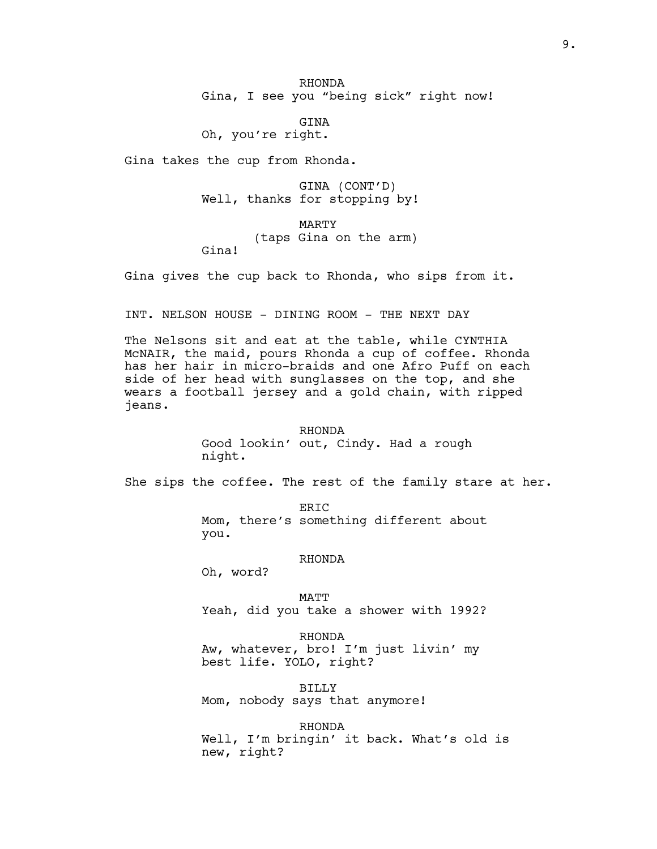RHONDA Gina, I see you "being sick" right now!

GINA Oh, you're right.

Gina takes the cup from Rhonda.

GINA (CONT'D) Well, thanks for stopping by!

MARTY (taps Gina on the arm) Gina!

Gina gives the cup back to Rhonda, who sips from it.

INT. NELSON HOUSE - DINING ROOM - THE NEXT DAY

The Nelsons sit and eat at the table, while CYNTHIA McNAIR, the maid, pours Rhonda a cup of coffee. Rhonda has her hair in micro-braids and one Afro Puff on each side of her head with sunglasses on the top, and she wears a football jersey and a gold chain, with ripped jeans.

> RHONDA Good lookin' out, Cindy. Had a rough night.

She sips the coffee. The rest of the family stare at her.

ERIC Mom, there's something different about you.

### RHONDA

Oh, word?

MATT Yeah, did you take a shower with 1992?

RHONDA Aw, whatever, bro! I'm just livin' my best life. YOLO, right?

BILLY Mom, nobody says that anymore!

RHONDA Well, I'm bringin' it back. What's old is new, right?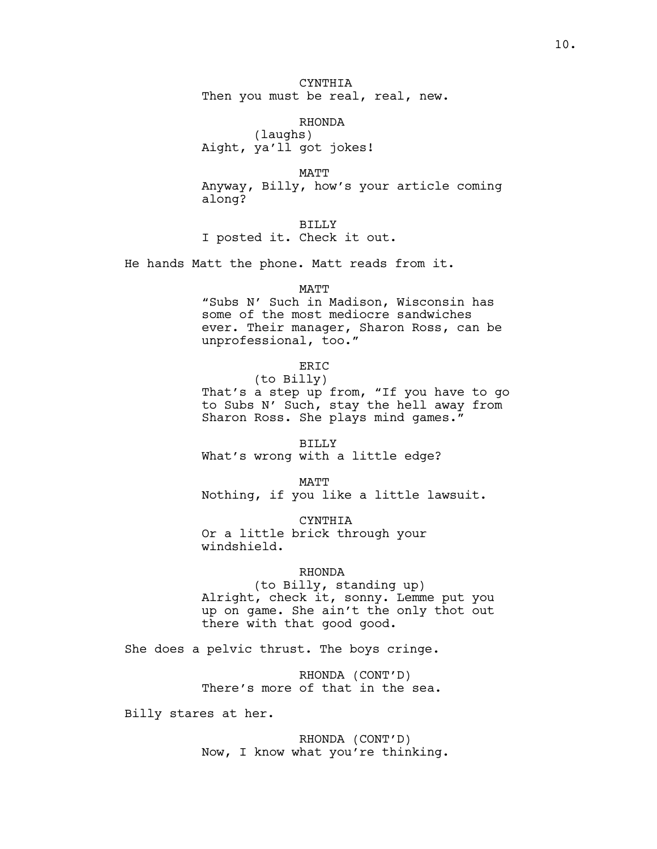CYNTHIA Then you must be real, real, new.

RHONDA

(laughs) Aight, ya'll got jokes!

MATT Anyway, Billy, how's your article coming along?

BILLY I posted it. Check it out.

He hands Matt the phone. Matt reads from it.

### MATT

"Subs N' Such in Madison, Wisconsin has some of the most mediocre sandwiches ever. Their manager, Sharon Ross, can be unprofessional, too."

ERIC

(to Billy) That's a step up from, "If you have to go to Subs N' Such, stay the hell away from Sharon Ross. She plays mind games."

BILLY What's wrong with a little edge?

MATT Nothing, if you like a little lawsuit.

CYNTHIA Or a little brick through your windshield.

# RHONDA

(to Billy, standing up) Alright, check it, sonny. Lemme put you up on game. She ain't the only thot out there with that good good.

She does a pelvic thrust. The boys cringe.

RHONDA (CONT'D) There's more of that in the sea.

Billy stares at her.

RHONDA (CONT'D) Now, I know what you're thinking.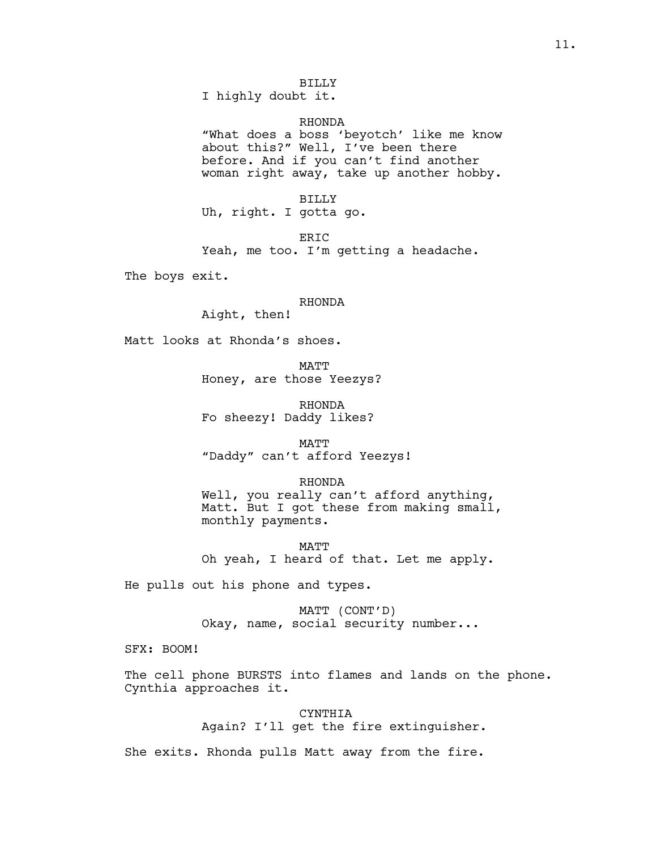I highly doubt it.

#### RHONDA

"What does a boss 'beyotch' like me know about this?" Well, I've been there before. And if you can't find another woman right away, take up another hobby.

BILLY Uh, right. I gotta go.

ERIC

Yeah, me too. I'm getting a headache.

The boys exit.

RHONDA

Aight, then!

Matt looks at Rhonda's shoes.

MATT Honey, are those Yeezys?

RHONDA Fo sheezy! Daddy likes?

MATT "Daddy" can't afford Yeezys!

RHONDA Well, you really can't afford anything, Matt. But I got these from making small, monthly payments.

MATT Oh yeah, I heard of that. Let me apply.

He pulls out his phone and types.

MATT (CONT'D) Okay, name, social security number...

SFX: BOOM!

The cell phone BURSTS into flames and lands on the phone. Cynthia approaches it.

> CYNTHIA Again? I'll get the fire extinguisher.

She exits. Rhonda pulls Matt away from the fire.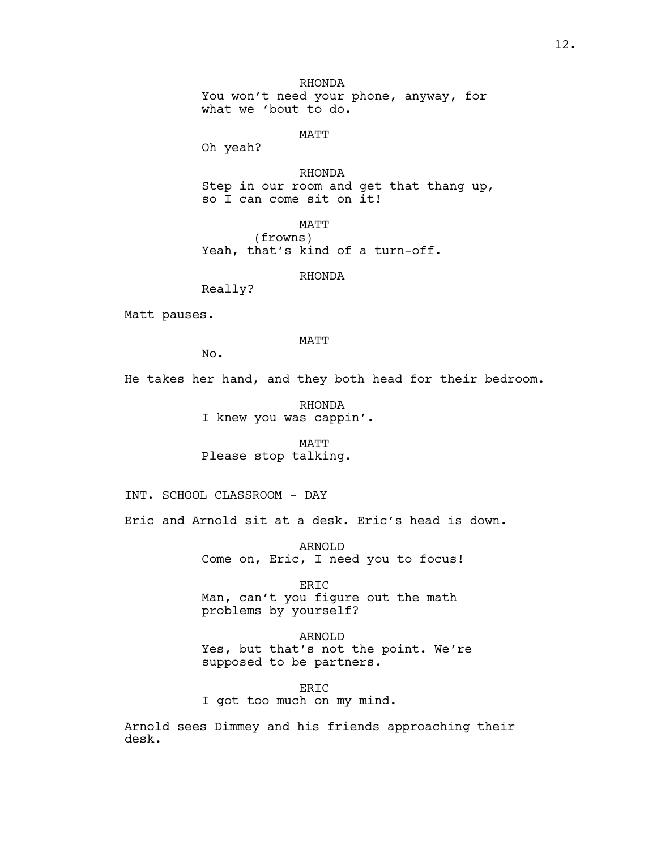RHONDA You won't need your phone, anyway, for what we 'bout to do.

MATT

Oh yeah?

RHONDA Step in our room and get that thang up, so I can come sit on it!

MATT (frowns) Yeah, that's kind of a turn-off.

RHONDA

Really?

Matt pauses.

MATT

No.

He takes her hand, and they both head for their bedroom.

RHONDA I knew you was cappin'.

MATT Please stop talking.

INT. SCHOOL CLASSROOM - DAY

Eric and Arnold sit at a desk. Eric's head is down.

ARNOLD Come on, Eric, I need you to focus!

ERIC Man, can't you figure out the math problems by yourself?

ARNOLD Yes, but that's not the point. We're supposed to be partners.

ERIC I got too much on my mind.

Arnold sees Dimmey and his friends approaching their desk.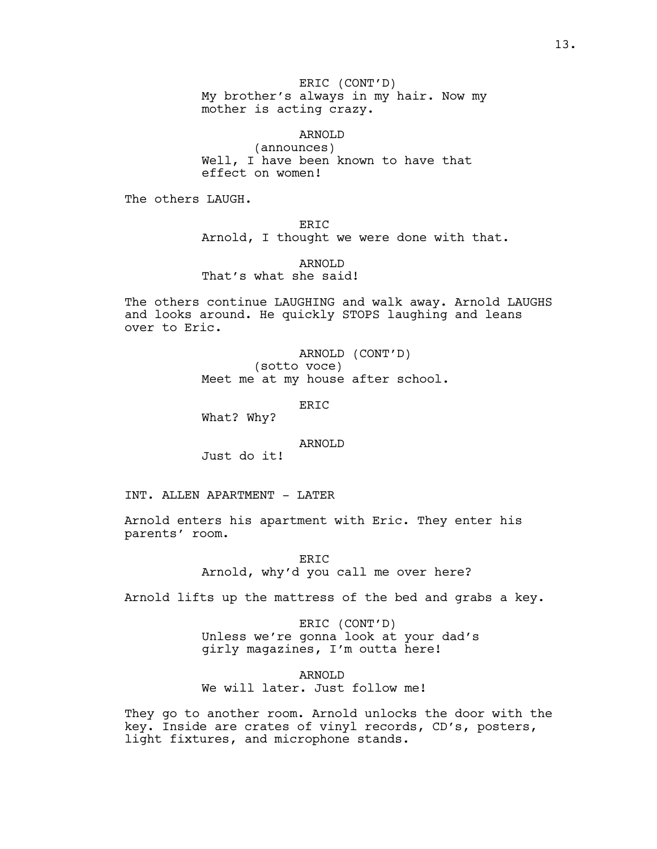ERIC (CONT'D) My brother's always in my hair. Now my mother is acting crazy.

ARNOLD (announces) Well, I have been known to have that effect on women!

The others LAUGH.

ERIC Arnold, I thought we were done with that.

ARNOLD That's what she said!

The others continue LAUGHING and walk away. Arnold LAUGHS and looks around. He quickly STOPS laughing and leans over to Eric.

> ARNOLD (CONT'D) (sotto voce) Meet me at my house after school.

> > ERIC

What? Why?

ARNOLD

Just do it!

INT. ALLEN APARTMENT - LATER

Arnold enters his apartment with Eric. They enter his parents' room.

> ERIC Arnold, why'd you call me over here?

Arnold lifts up the mattress of the bed and grabs a key.

ERIC (CONT'D) Unless we're gonna look at your dad's girly magazines, I'm outta here!

ARNOLD We will later. Just follow me!

They go to another room. Arnold unlocks the door with the key. Inside are crates of vinyl records, CD's, posters, light fixtures, and microphone stands.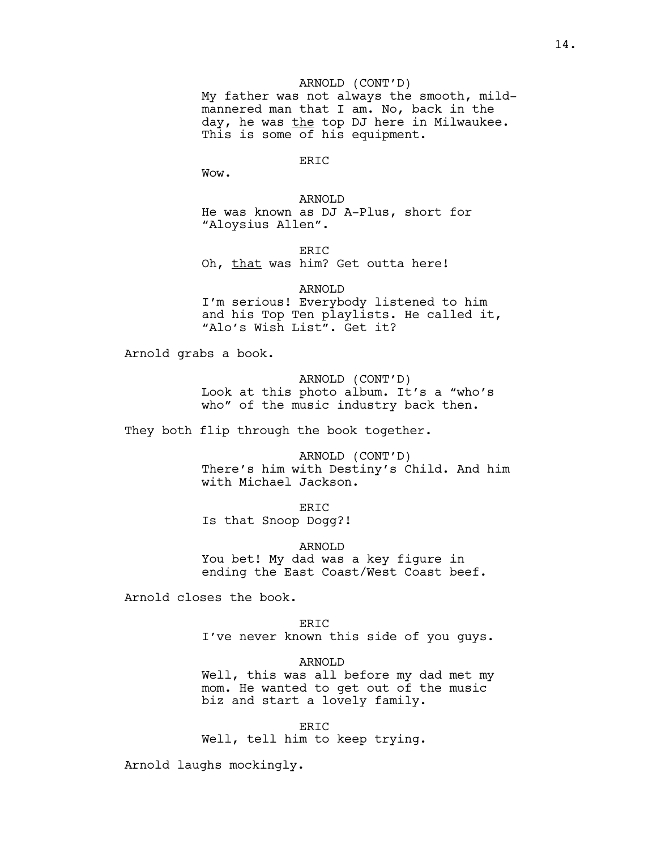ARNOLD (CONT'D)

My father was not always the smooth, mildmannered man that I am. No, back in the day, he was the top DJ here in Milwaukee. This is some of his equipment.

# ERIC

Wow.

ARNOLD He was known as DJ A-Plus, short for "Aloysius Allen".

ER<sub>TC</sub> Oh, that was him? Get outta here!

ARNOLD I'm serious! Everybody listened to him and his Top Ten playlists. He called it, "Alo's Wish List". Get it?

Arnold grabs a book.

ARNOLD (CONT'D) Look at this photo album. It's a "who's who" of the music industry back then.

They both flip through the book together.

ARNOLD (CONT'D) There's him with Destiny's Child. And him with Michael Jackson.

ER<sub>TC</sub> Is that Snoop Dogg?!

ARNOLD You bet! My dad was a key figure in ending the East Coast/West Coast beef.

Arnold closes the book.

ER<sub>TC</sub> I've never known this side of you guys.

ARNOLD Well, this was all before my dad met my mom. He wanted to get out of the music biz and start a lovely family.

ERIC Well, tell him to keep trying.

Arnold laughs mockingly.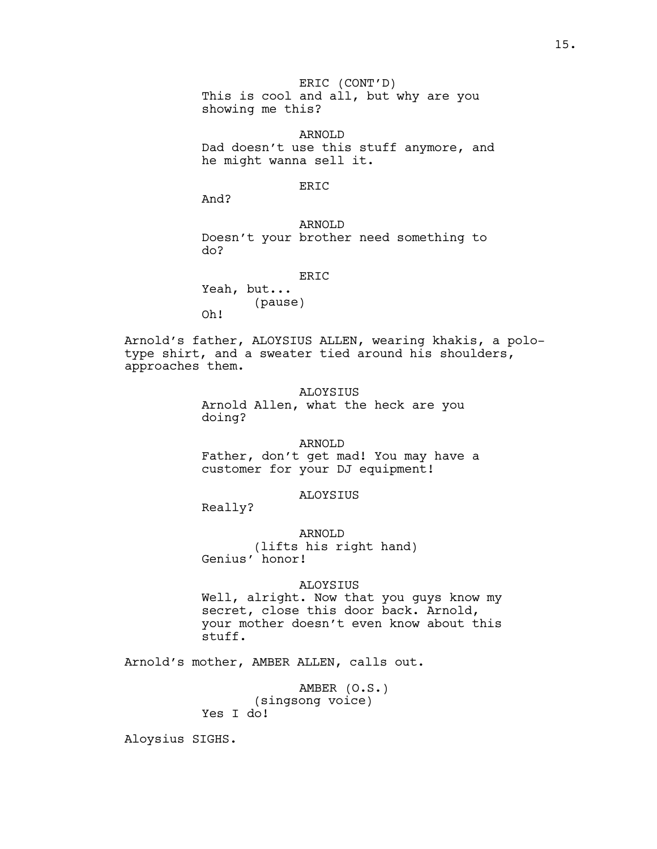ERIC (CONT'D) This is cool and all, but why are you showing me this?

ARNOLD Dad doesn't use this stuff anymore, and he might wanna sell it.

# ERIC

And?

ARNOLD Doesn't your brother need something to do?

ERIC

Yeah, but... (pause) Oh!

Arnold's father, ALOYSIUS ALLEN, wearing khakis, a polotype shirt, and a sweater tied around his shoulders, approaches them.

> ALOYSIUS Arnold Allen, what the heck are you doing?

# ARNOLD

Father, don't get mad! You may have a customer for your DJ equipment!

## ALOYSIUS

Really?

ARNOLD (lifts his right hand) Genius' honor!

### ALOYSIUS

Well, alright. Now that you guys know my secret, close this door back. Arnold, your mother doesn't even know about this stuff.

Arnold's mother, AMBER ALLEN, calls out.

AMBER (O.S.) (singsong voice) Yes I do!

Aloysius SIGHS.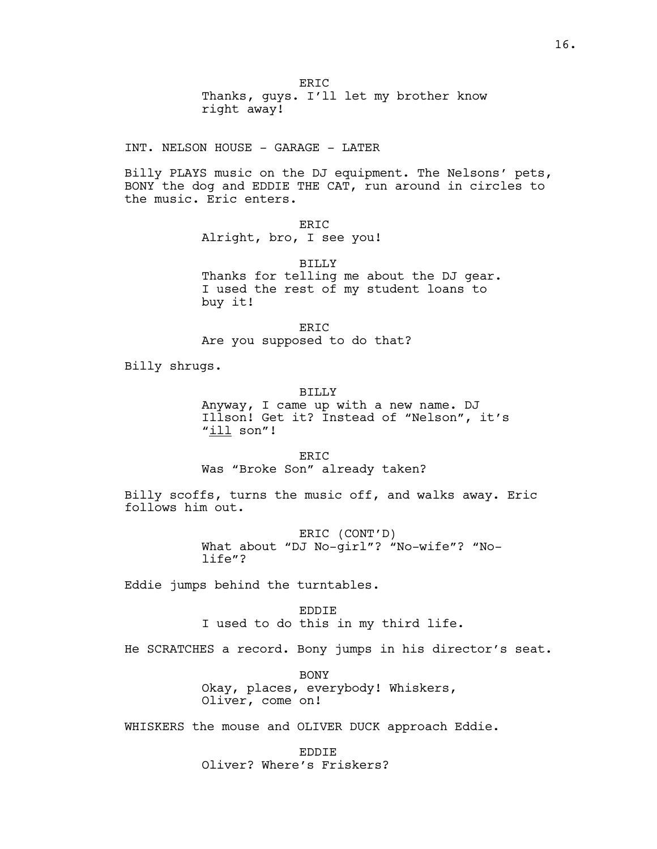ERIC Thanks, guys. I'll let my brother know right away!

INT. NELSON HOUSE - GARAGE - LATER

Billy PLAYS music on the DJ equipment. The Nelsons' pets, BONY the dog and EDDIE THE CAT, run around in circles to the music. Eric enters.

ERIC

Alright, bro, I see you!

BILLY Thanks for telling me about the DJ gear. I used the rest of my student loans to buy it!

ERIC Are you supposed to do that?

Billy shrugs.

BILLY

Anyway, I came up with a new name. DJ Illson! Get it? Instead of "Nelson", it's "ill son"!

ERIC Was "Broke Son" already taken?

Billy scoffs, turns the music off, and walks away. Eric follows him out.

> ERIC (CONT'D) What about "DJ No-girl"? "No-wife"? "Nolife"?

Eddie jumps behind the turntables.

EDDIE I used to do this in my third life.

He SCRATCHES a record. Bony jumps in his director's seat.

BONY Okay, places, everybody! Whiskers, Oliver, come on!

WHISKERS the mouse and OLIVER DUCK approach Eddie.

EDDIE Oliver? Where's Friskers?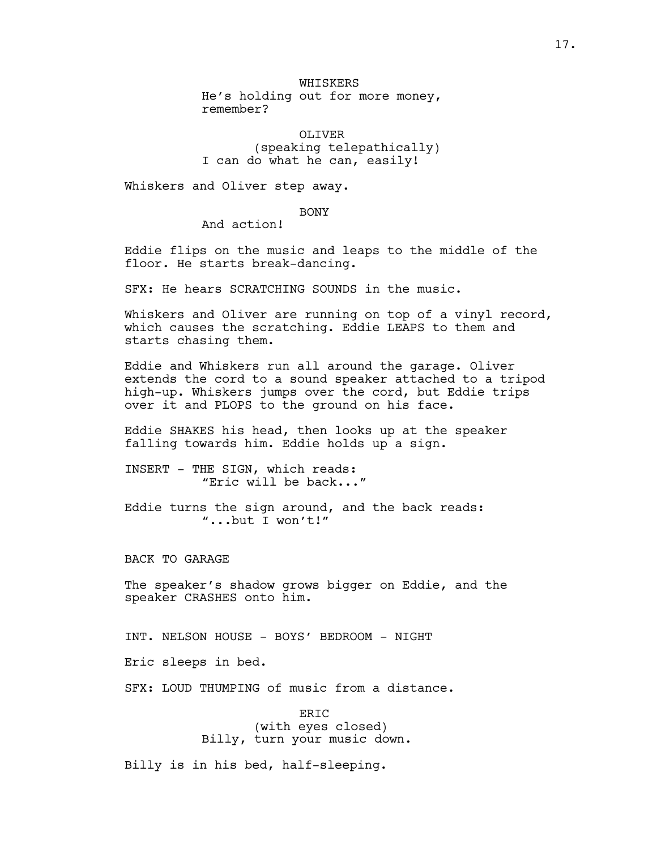WHISKERS He's holding out for more money, remember?

OLIVER (speaking telepathically) I can do what he can, easily!

Whiskers and Oliver step away.

# BONY

And action!

Eddie flips on the music and leaps to the middle of the floor. He starts break-dancing.

SFX: He hears SCRATCHING SOUNDS in the music.

Whiskers and Oliver are running on top of a vinyl record, which causes the scratching. Eddie LEAPS to them and starts chasing them.

Eddie and Whiskers run all around the garage. Oliver extends the cord to a sound speaker attached to a tripod high-up. Whiskers jumps over the cord, but Eddie trips over it and PLOPS to the ground on his face.

Eddie SHAKES his head, then looks up at the speaker falling towards him. Eddie holds up a sign.

INSERT - THE SIGN, which reads: "Eric will be back..."

Eddie turns the sign around, and the back reads: "...but I won't!"

BACK TO GARAGE

The speaker's shadow grows bigger on Eddie, and the speaker CRASHES onto him.

INT. NELSON HOUSE - BOYS' BEDROOM - NIGHT

Eric sleeps in bed.

SFX: LOUD THUMPING of music from a distance.

ERIC (with eyes closed) Billy, turn your music down.

Billy is in his bed, half-sleeping.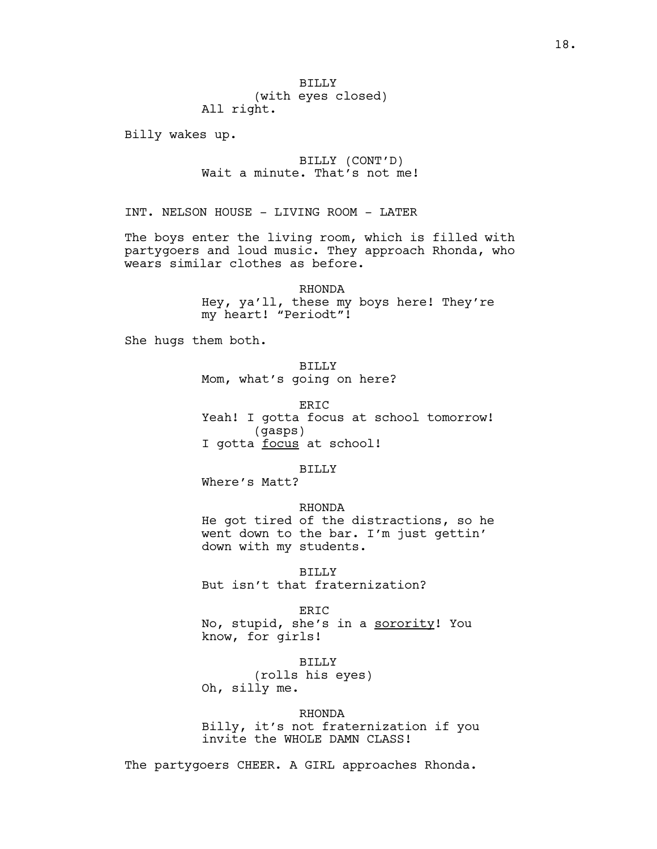Billy wakes up.

BILLY (CONT'D) Wait a minute. That's not me!

INT. NELSON HOUSE - LIVING ROOM - LATER

The boys enter the living room, which is filled with partygoers and loud music. They approach Rhonda, who wears similar clothes as before.

> RHONDA Hey, ya'll, these my boys here! They're my heart! "Periodt"!

She hugs them both.

BILLY Mom, what's going on here?

ER<sub>TC</sub> Yeah! I gotta focus at school tomorrow! (gasps) I gotta focus at school!

#### BILLY

Where's Matt?

#### RHONDA

He got tired of the distractions, so he went down to the bar. I'm just gettin' down with my students.

BILLY But isn't that fraternization?

#### ERIC

No, stupid, she's in a sorority! You know, for girls!

BILLY (rolls his eyes) Oh, silly me.

### RHONDA

Billy, it's not fraternization if you invite the WHOLE DAMN CLASS!

The partygoers CHEER. A GIRL approaches Rhonda.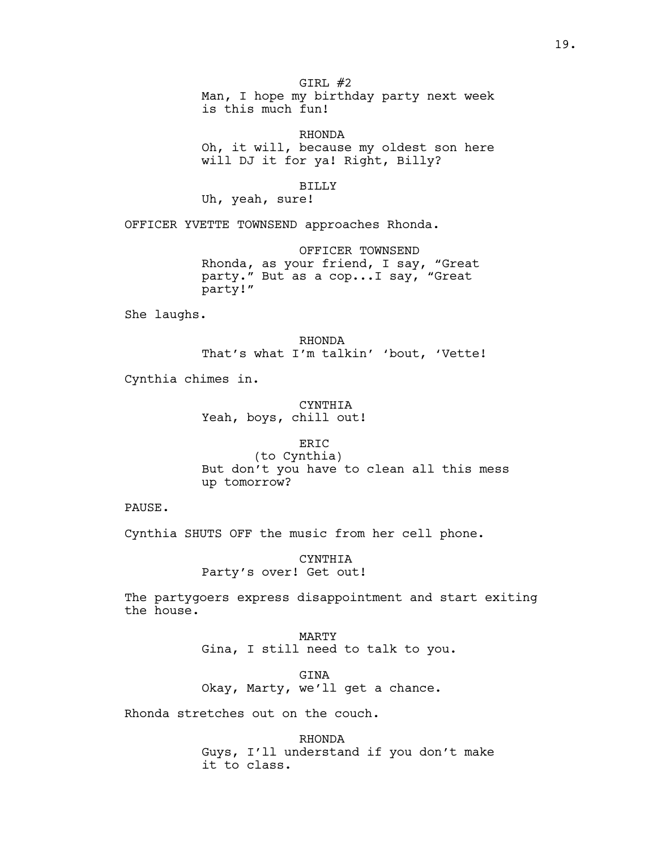GIRL #2 Man, I hope my birthday party next week is this much fun!

RHONDA Oh, it will, because my oldest son here will DJ it for ya! Right, Billy?

BILLY

Uh, yeah, sure!

OFFICER YVETTE TOWNSEND approaches Rhonda.

OFFICER TOWNSEND Rhonda, as your friend, I say, "Great party." But as a cop...I say, "Great party!"

She laughs.

RHONDA That's what I'm talkin' 'bout, 'Vette!

Cynthia chimes in.

CYNTHIA Yeah, boys, chill out!

ERIC (to Cynthia) But don't you have to clean all this mess up tomorrow?

PAUSE.

Cynthia SHUTS OFF the music from her cell phone.

CYNTHIA Party's over! Get out!

The partygoers express disappointment and start exiting the house.

> MARTY Gina, I still need to talk to you.

GINA Okay, Marty, we'll get a chance.

Rhonda stretches out on the couch.

RHONDA Guys, I'll understand if you don't make it to class.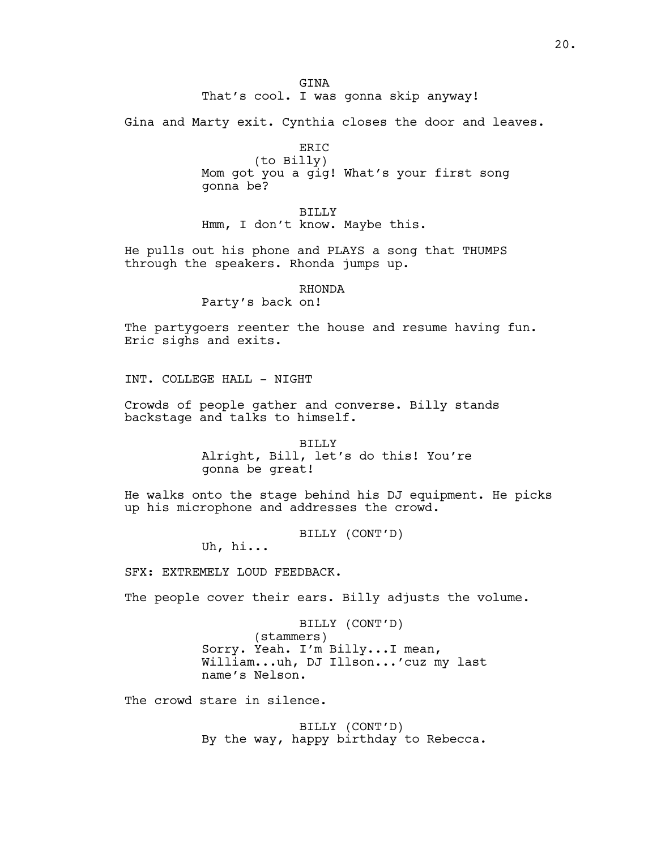GTNA That's cool. I was gonna skip anyway!

Gina and Marty exit. Cynthia closes the door and leaves.

ERIC (to Billy) Mom got you a gig! What's your first song gonna be?

BILLY Hmm, I don't know. Maybe this.

He pulls out his phone and PLAYS a song that THUMPS through the speakers. Rhonda jumps up.

# RHONDA

Party's back on!

The partygoers reenter the house and resume having fun. Eric sighs and exits.

INT. COLLEGE HALL - NIGHT

Crowds of people gather and converse. Billy stands backstage and talks to himself.

> BILLY Alright, Bill, let's do this! You're gonna be great!

He walks onto the stage behind his DJ equipment. He picks up his microphone and addresses the crowd.

BILLY (CONT'D)

Uh, hi...

SFX: EXTREMELY LOUD FEEDBACK.

The people cover their ears. Billy adjusts the volume.

BILLY (CONT'D) (stammers) Sorry. Yeah. I'm Billy...I mean, William...uh, DJ Illson...'cuz my last name's Nelson.

The crowd stare in silence.

BILLY (CONT'D) By the way, happy birthday to Rebecca.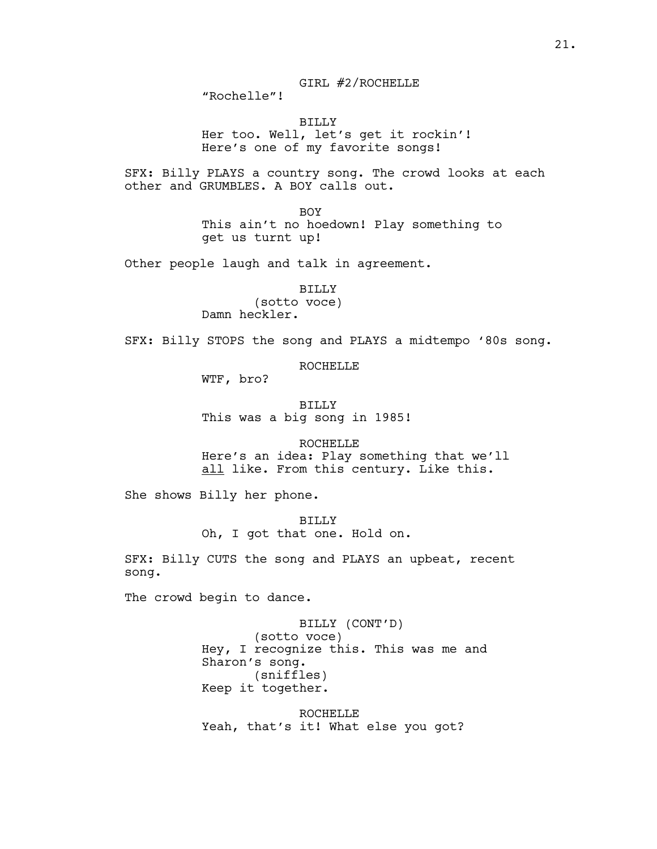"Rochelle"!

BILLY Her too. Well, let's get it rockin'! Here's one of my favorite songs!

SFX: Billy PLAYS a country song. The crowd looks at each other and GRUMBLES. A BOY calls out.

> BOY This ain't no hoedown! Play something to get us turnt up!

Other people laugh and talk in agreement.

BILLY (sotto voce) Damn heckler.

SFX: Billy STOPS the song and PLAYS a midtempo '80s song.

ROCHELLE

WTF, bro?

BILLY This was a big song in 1985!

ROCHELLE Here's an idea: Play something that we'll all like. From this century. Like this.

She shows Billy her phone.

BILLY Oh, I got that one. Hold on.

SFX: Billy CUTS the song and PLAYS an upbeat, recent song.

The crowd begin to dance.

BILLY (CONT'D) (sotto voce) Hey, I recognize this. This was me and Sharon's song. (sniffles) Keep it together.

ROCHELLE Yeah, that's it! What else you got?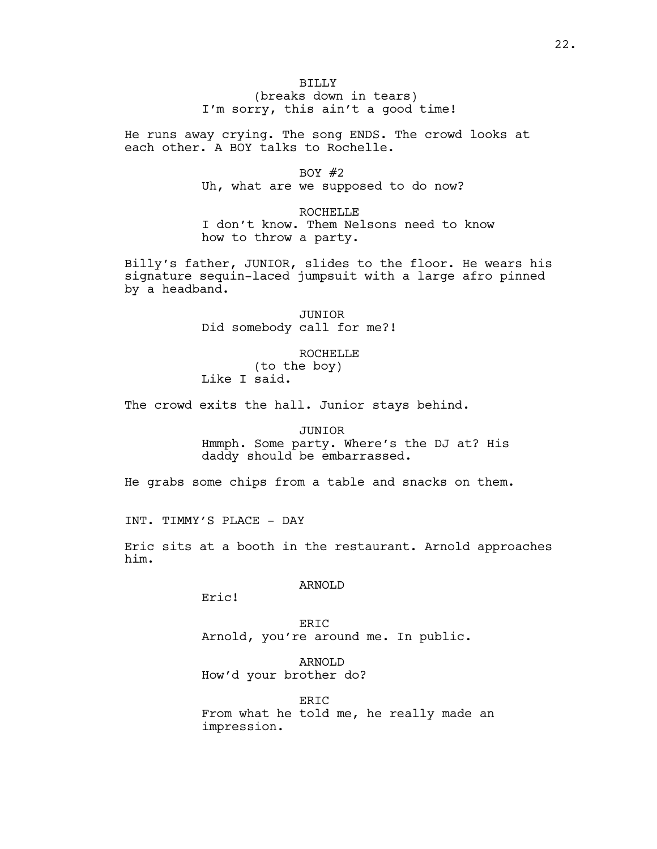# BILLY (breaks down in tears) I'm sorry, this ain't a good time!

He runs away crying. The song ENDS. The crowd looks at each other. A BOY talks to Rochelle.

BOY  $#2$ 

Uh, what are we supposed to do now?

ROCHELLE I don't know. Them Nelsons need to know how to throw a party.

Billy's father, JUNIOR, slides to the floor. He wears his signature sequin-laced jumpsuit with a large afro pinned by a headband.

> JUNIOR Did somebody call for me?!

ROCHELLE (to the boy) Like I said.

The crowd exits the hall. Junior stays behind.

#### JUNIOR

Hmmph. Some party. Where's the DJ at? His daddy should be embarrassed.

He grabs some chips from a table and snacks on them.

INT. TIMMY'S PLACE - DAY

Eric sits at a booth in the restaurant. Arnold approaches him.

# ARNOLD

Eric!

ERIC Arnold, you're around me. In public.

ARNOLD How'd your brother do?

**ERIC** From what he told me, he really made an impression.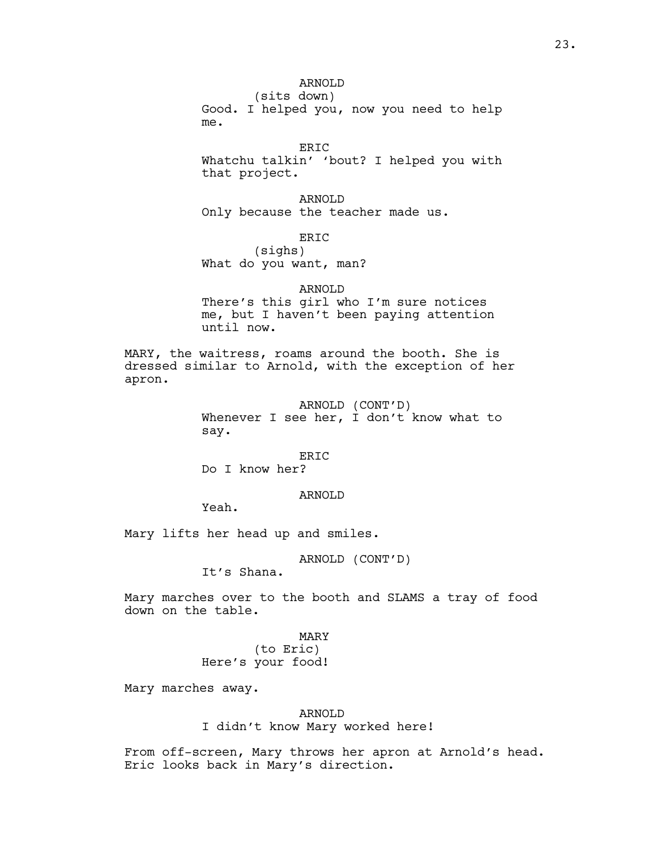# ARNOLD

(sits down) Good. I helped you, now you need to help me.

ERIC Whatchu talkin' 'bout? I helped you with that project.

ARNOLD Only because the teacher made us.

ERIC

(sighs) What do you want, man?

### ARNOLD

There's this girl who I'm sure notices me, but I haven't been paying attention until now.

MARY, the waitress, roams around the booth. She is dressed similar to Arnold, with the exception of her apron.

> ARNOLD (CONT'D) Whenever I see her, I don't know what to say.

### ERIC

Do I know her?

# ARNOLD

Yeah.

Mary lifts her head up and smiles.

ARNOLD (CONT'D)

It's Shana.

Mary marches over to the booth and SLAMS a tray of food down on the table.

# MARY

(to Eric) Here's your food!

Mary marches away.

# ARNOLD

I didn't know Mary worked here!

From off-screen, Mary throws her apron at Arnold's head. Eric looks back in Mary's direction.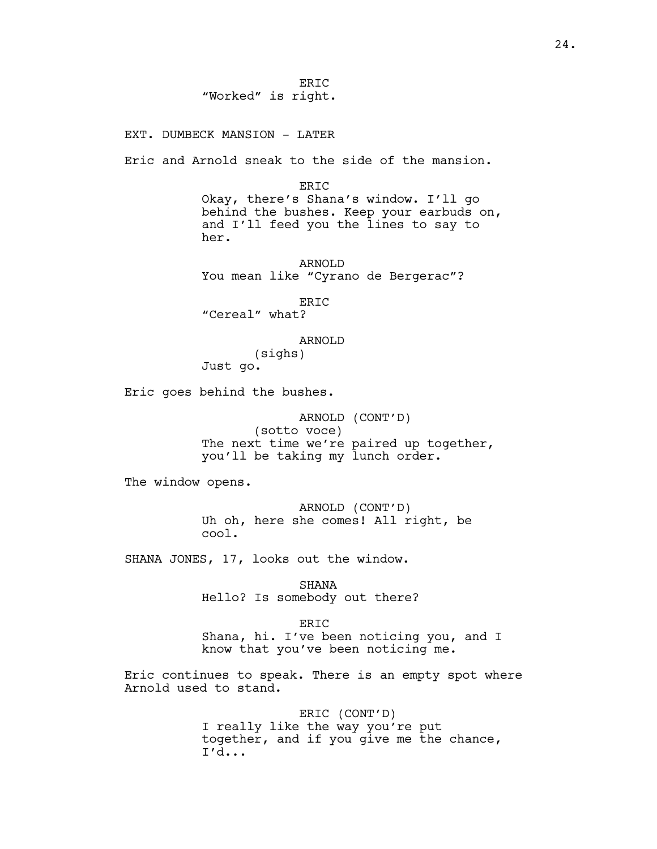ERIC "Worked" is right.

EXT. DUMBECK MANSION - LATER

Eric and Arnold sneak to the side of the mansion.

ERIC Okay, there's Shana's window. I'll go behind the bushes. Keep your earbuds on, and I'll feed you the lines to say to her.

ARNOLD You mean like "Cyrano de Bergerac"?

ERIC "Cereal" what?

ARNOLD

(sighs) Just go.

Eric goes behind the bushes.

ARNOLD (CONT'D) (sotto voce) The next time we're paired up together, you'll be taking my lunch order.

The window opens.

ARNOLD (CONT'D) Uh oh, here she comes! All right, be cool.

SHANA JONES, 17, looks out the window.

SHANA Hello? Is somebody out there?

ERIC Shana, hi. I've been noticing you, and I know that you've been noticing me.

Eric continues to speak. There is an empty spot where Arnold used to stand.

> ERIC (CONT'D) I really like the way you're put together, and if you give me the chance, I'd...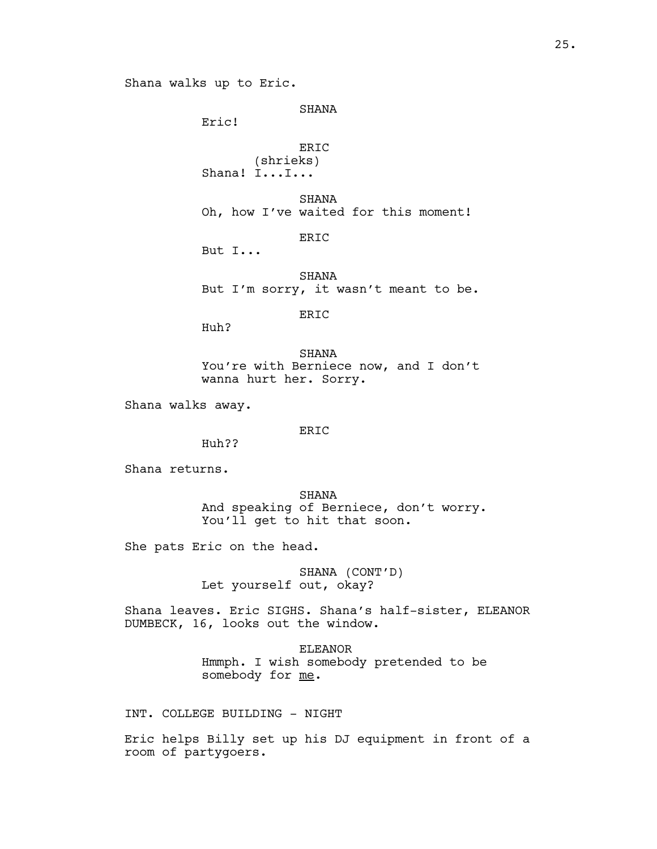```
SHANA
```
Eric!

# ERIC (shrieks) Shana! I...I...

SHANA Oh, how I've waited for this moment!

ERIC

But I...

SHANA But I'm sorry, it wasn't meant to be.

ERIC

Huh?

SHANA You're with Berniece now, and I don't wanna hurt her. Sorry.

Shana walks away.

# ERIC

Huh??

Shana returns.

SHANA And speaking of Berniece, don't worry. You'll get to hit that soon.

She pats Eric on the head.

SHANA (CONT'D) Let yourself out, okay?

Shana leaves. Eric SIGHS. Shana's half-sister, ELEANOR DUMBECK, 16, looks out the window.

> ELEANOR Hmmph. I wish somebody pretended to be somebody for me.

INT. COLLEGE BUILDING - NIGHT

Eric helps Billy set up his DJ equipment in front of a room of partygoers.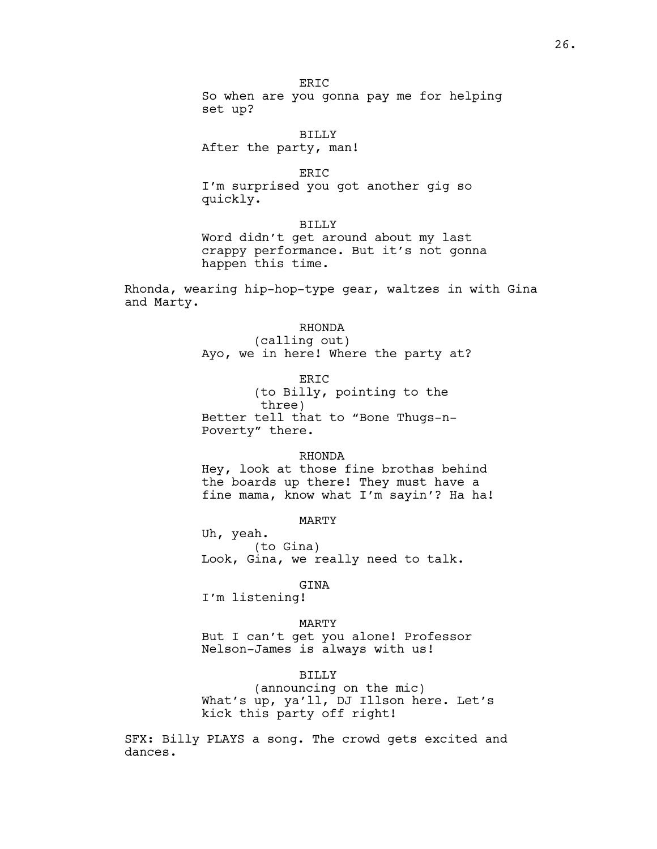ER<sub>TC</sub> So when are you gonna pay me for helping set up?

BILLY After the party, man!

ERIC

I'm surprised you got another gig so quickly.

BILLY

Word didn't get around about my last crappy performance. But it's not gonna happen this time.

Rhonda, wearing hip-hop-type gear, waltzes in with Gina and Marty.

## RHONDA

(calling out) Ayo, we in here! Where the party at?

ERIC (to Billy, pointing to the three) Better tell that to "Bone Thugs-n-Poverty" there.

#### RHONDA

Hey, look at those fine brothas behind the boards up there! They must have a fine mama, know what I'm sayin'? Ha ha!

MARTY

Uh, yeah. (to Gina) Look, Gina, we really need to talk.

GINA

I'm listening!

MARTY But I can't get you alone! Professor Nelson-James is always with us!

# BILLY

(announcing on the mic) What's up, ya'll, DJ Illson here. Let's kick this party off right!

SFX: Billy PLAYS a song. The crowd gets excited and dances.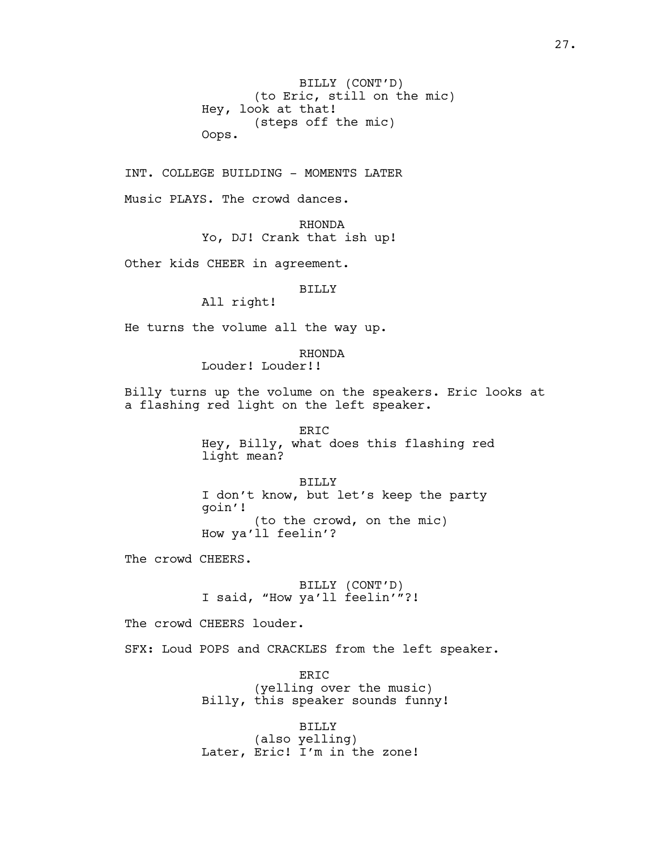BILLY (CONT'D) (to Eric, still on the mic) Hey, look at that! (steps off the mic) Oops.

INT. COLLEGE BUILDING - MOMENTS LATER

Music PLAYS. The crowd dances.

RHONDA Yo, DJ! Crank that ish up!

Other kids CHEER in agreement.

### BILLY

All right!

He turns the volume all the way up.

RHONDA Louder! Louder!!

Billy turns up the volume on the speakers. Eric looks at a flashing red light on the left speaker.

> ERIC Hey, Billy, what does this flashing red light mean?

BILLY I don't know, but let's keep the party goin'! (to the crowd, on the mic) How ya'll feelin'?

The crowd CHEERS.

BILLY (CONT'D) I said, "How ya'll feelin'"?!

The crowd CHEERS louder.

SFX: Loud POPS and CRACKLES from the left speaker.

ERIC (yelling over the music) Billy, this speaker sounds funny!

BILLY (also yelling) Later, Eric! I'm in the zone!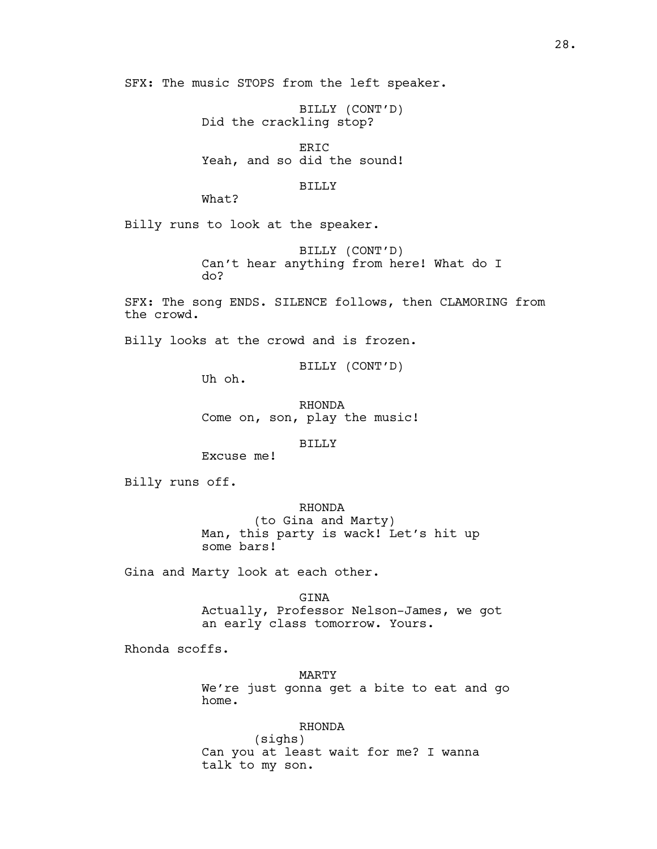SFX: The music STOPS from the left speaker.

BILLY (CONT'D) Did the crackling stop?

ERIC Yeah, and so did the sound!

#### BILLY

What?

Billy runs to look at the speaker.

BILLY (CONT'D) Can't hear anything from here! What do I do?

SFX: The song ENDS. SILENCE follows, then CLAMORING from the crowd.

Billy looks at the crowd and is frozen.

BILLY (CONT'D)

Uh oh.

RHONDA Come on, son, play the music!

BILLY

Excuse me!

Billy runs off.

RHONDA

(to Gina and Marty) Man, this party is wack! Let's hit up some bars!

Gina and Marty look at each other.

GINA Actually, Professor Nelson-James, we got an early class tomorrow. Yours.

Rhonda scoffs.

MARTY We're just gonna get a bite to eat and go home.

RHONDA (sighs) Can you at least wait for me? I wanna talk to my son.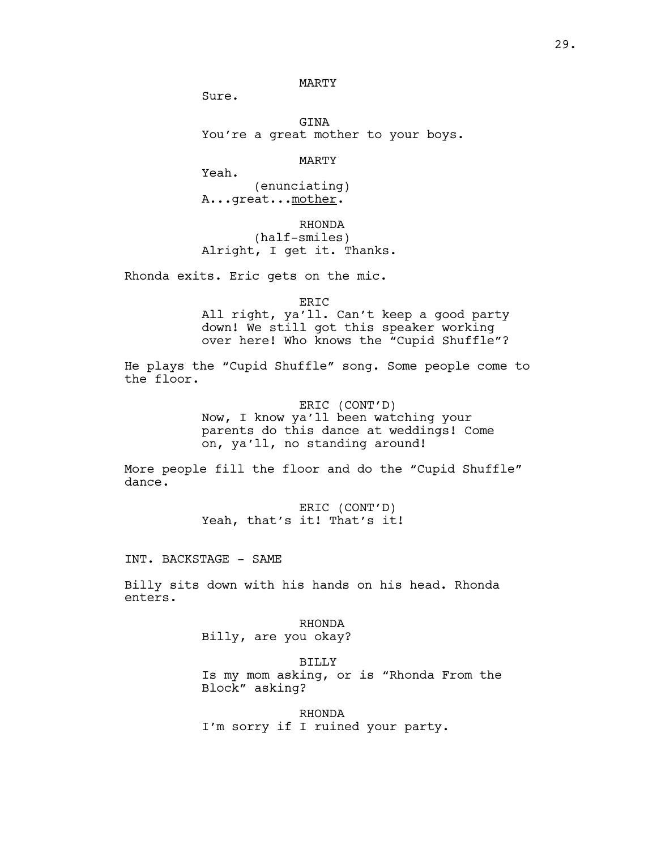# MARTY

Sure.

Yeah.

GINA You're a great mother to your boys.

MARTY

(enunciating) A...great... mother.

RHONDA (half-smiles) Alright, I get it. Thanks.

Rhonda exits. Eric gets on the mic.

ERIC All right, ya'll. Can't keep a good party down! We still got this speaker working over here! Who knows the "Cupid Shuffle"?

He plays the "Cupid Shuffle" song. Some people come to the floor.

> ERIC (CONT'D) Now, I know ya'll been watching your parents do this dance at weddings! Come on, ya'll, no standing around!

More people fill the floor and do the "Cupid Shuffle" dance.

> ERIC (CONT'D) Yeah, that's it! That's it!

INT. BACKSTAGE - SAME

Billy sits down with his hands on his head. Rhonda enters.

> RHONDA Billy, are you okay?

BILLY Is my mom asking, or is "Rhonda From the Block" asking?

RHONDA I'm sorry if I ruined your party.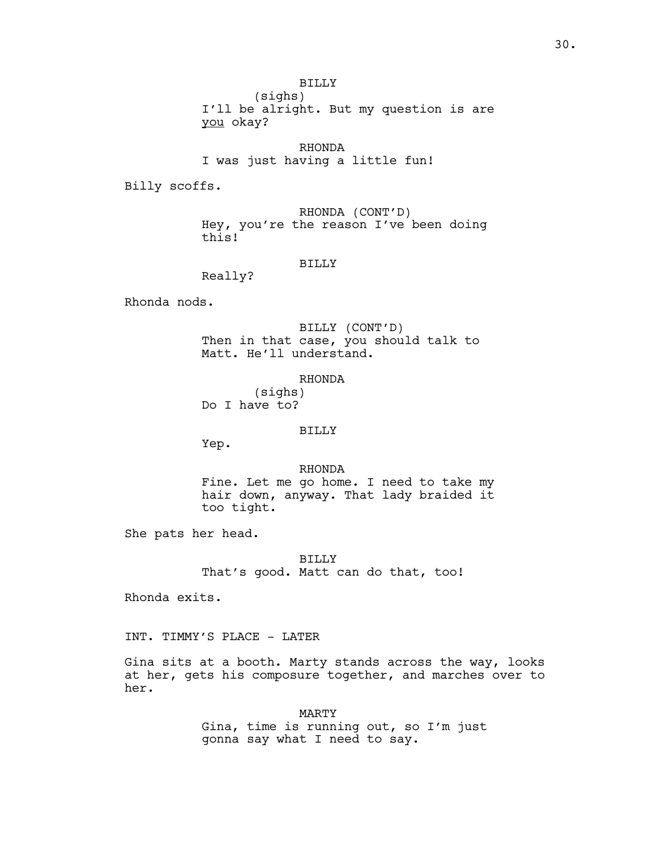(sighs) I'll be alright. But my question is are you okay?

RHONDA I was just having a little fun!

Billy scoffs.

RHONDA (CONT'D) Hey, you're the reason I've been doing this!

### BILLY

Really?

Rhonda nods.

BILLY (CONT'D) Then in that case, you should talk to Matt. He'll understand.

RHONDA (sighs) Do I have to?

### BILLY

Yep.

RHONDA

Fine. Let me go home. I need to take my hair down, anyway. That lady braided it too tight.

She pats her head.

BILLY That's good. Matt can do that, too!

Rhonda exits.

INT. TIMMY'S PLACE - LATER

Gina sits at a booth. Marty stands across the way, looks at her, gets his composure together, and marches over to her.

> MARTY Gina, time is running out, so I'm just gonna say what I need to say.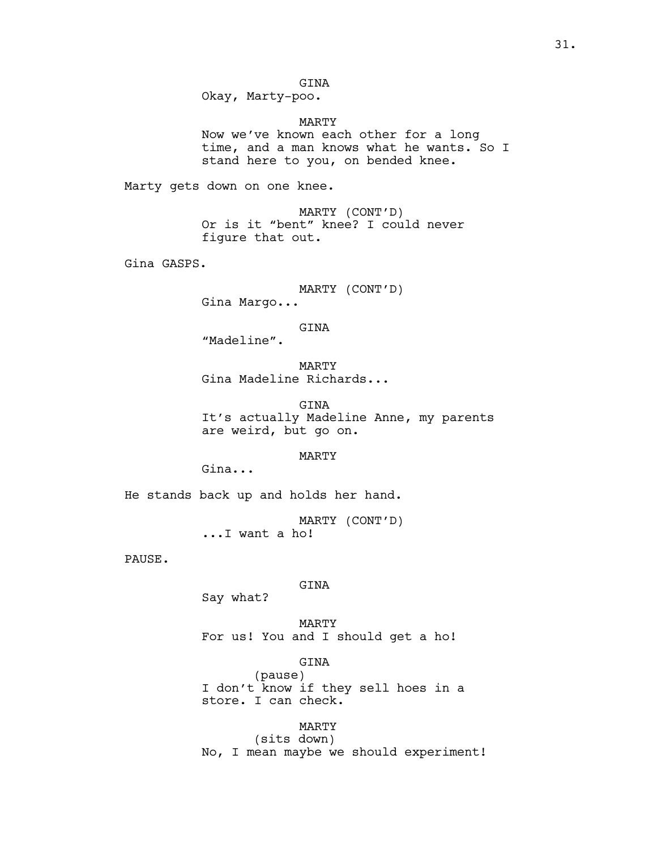GINA Okay, Marty-poo.

MARTY

Now we've known each other for a long time, and a man knows what he wants. So I stand here to you, on bended knee.

Marty gets down on one knee.

MARTY (CONT'D) Or is it "bent" knee? I could never figure that out.

Gina GASPS.

MARTY (CONT'D) Gina Margo...

GINA

"Madeline".

MARTY Gina Madeline Richards...

GINA It's actually Madeline Anne, my parents are weird, but go on.

MARTY

Gina...

He stands back up and holds her hand.

MARTY (CONT'D) ...I want a ho!

PAUSE.

GINA

Say what?

MARTY For us! You and I should get a ho!

GINA (pause) I don't know if they sell hoes in a store. I can check.

MARTY (sits down) No, I mean maybe we should experiment!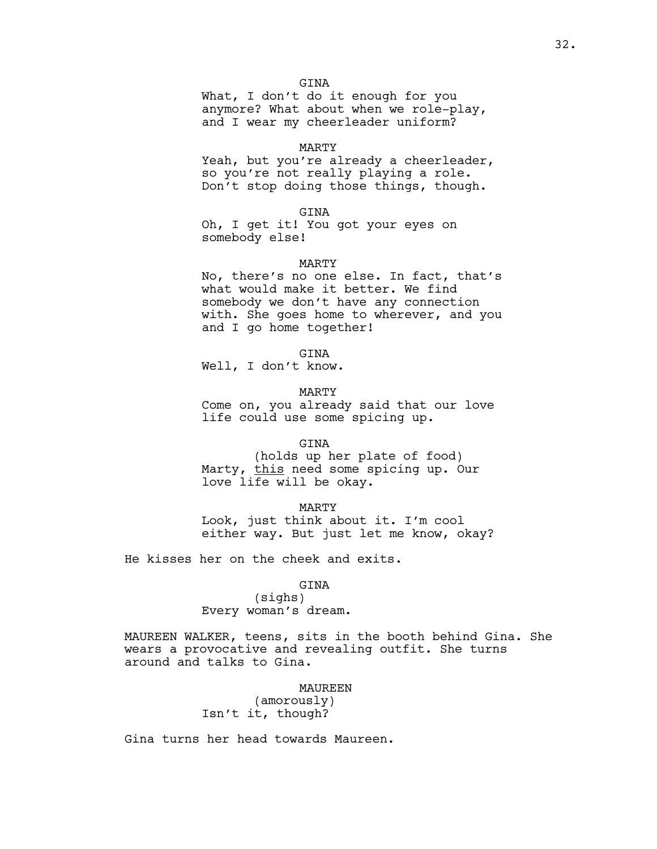What, I don't do it enough for you anymore? What about when we role-play, and I wear my cheerleader uniform?

### MARTY

Yeah, but you're already a cheerleader, so you're not really playing a role. Don't stop doing those things, though.

GINA

Oh, I get it! You got your eyes on somebody else!

#### MARTY

No, there's no one else. In fact, that's what would make it better. We find somebody we don't have any connection with. She goes home to wherever, and you and I go home together!

GINA

Well, I don't know.

MARTY

Come on, you already said that our love life could use some spicing up.

GINA

(holds up her plate of food) Marty, this need some spicing up. Our love life will be okay.

MARTY Look, just think about it. I'm cool either way. But just let me know, okay?

He kisses her on the cheek and exits.

## GINA

(sighs) Every woman's dream.

MAUREEN WALKER, teens, sits in the booth behind Gina. She wears a provocative and revealing outfit. She turns around and talks to Gina.

#### MAUREEN

(amorously) Isn't it, though?

Gina turns her head towards Maureen.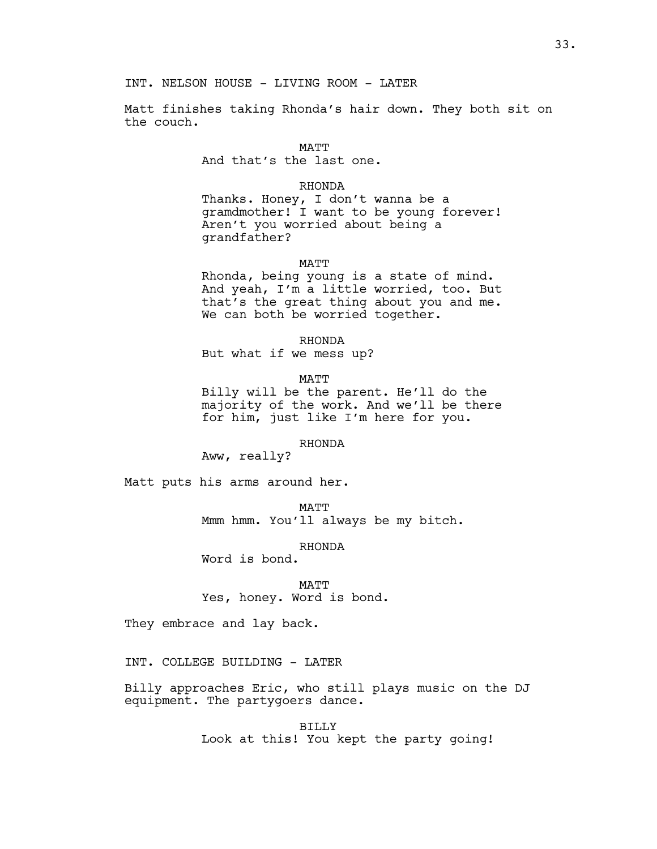Matt finishes taking Rhonda's hair down. They both sit on the couch.

MATT

And that's the last one.

# RHONDA

Thanks. Honey, I don't wanna be a gramdmother! I want to be young forever! Aren't you worried about being a grandfather?

MATT

Rhonda, being young is a state of mind. And yeah, I'm a little worried, too. But that's the great thing about you and me. We can both be worried together.

RHONDA

But what if we mess up?

MATT

Billy will be the parent. He'll do the majority of the work. And we'll be there for him, just like I'm here for you.

RHONDA

Aww, really?

Matt puts his arms around her.

MATT Mmm hmm. You'll always be my bitch.

RHONDA

Word is bond.

MATT Yes, honey. Word is bond.

They embrace and lay back.

INT. COLLEGE BUILDING - LATER

Billy approaches Eric, who still plays music on the DJ equipment. The partygoers dance.

> BILLY Look at this! You kept the party going!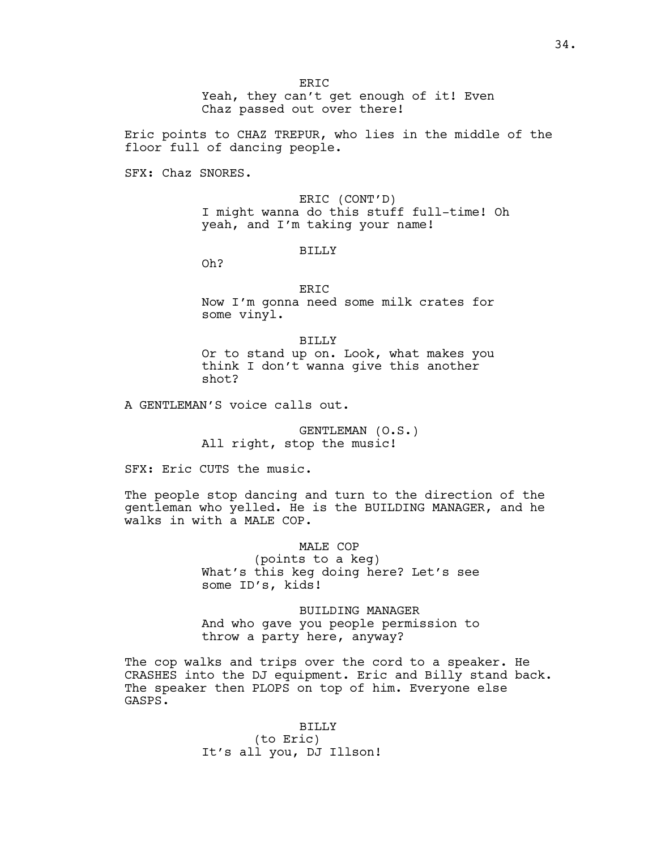Eric points to CHAZ TREPUR, who lies in the middle of the floor full of dancing people.

SFX: Chaz SNORES.

ERIC (CONT'D) I might wanna do this stuff full-time! Oh yeah, and I'm taking your name!

## BILLY

Oh?

ERIC Now I'm gonna need some milk crates for some vinyl.

BILLY Or to stand up on. Look, what makes you think I don't wanna give this another shot?

A GENTLEMAN'S voice calls out.

GENTLEMAN (O.S.) All right, stop the music!

SFX: Eric CUTS the music.

The people stop dancing and turn to the direction of the gentleman who yelled. He is the BUILDING MANAGER, and he walks in with a MALE COP.

> MALE COP (points to a keg) What's this keg doing here? Let's see some ID's, kids!

BUILDING MANAGER And who gave you people permission to throw a party here, anyway?

The cop walks and trips over the cord to a speaker. He CRASHES into the DJ equipment. Eric and Billy stand back. The speaker then PLOPS on top of him. Everyone else GASPS.

> BILLY (to Eric) It's all you, DJ Illson!